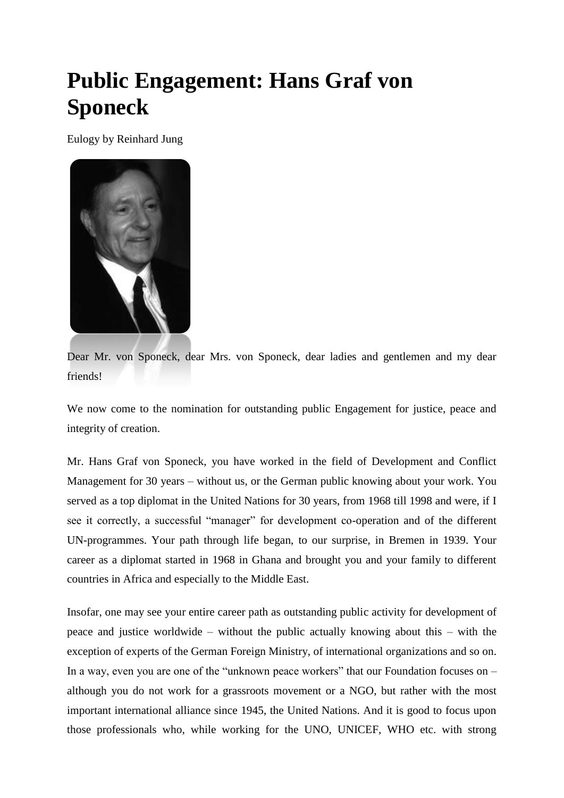## **Public Engagement: Hans Graf von Sponeck**

Eulogy by Reinhard Jung



Dear Mr. von Sponeck, dear Mrs. von Sponeck, dear ladies and gentlemen and my dear friends!

We now come to the nomination for outstanding public Engagement for justice, peace and integrity of creation.

Mr. Hans Graf von Sponeck, you have worked in the field of Development and Conflict Management for 30 years – without us, or the German public knowing about your work. You served as a top diplomat in the United Nations for 30 years, from 1968 till 1998 and were, if I see it correctly, a successful "manager" for development co-operation and of the different UN-programmes. Your path through life began, to our surprise, in Bremen in 1939. Your career as a diplomat started in 1968 in Ghana and brought you and your family to different countries in Africa and especially to the Middle East.

Insofar, one may see your entire career path as outstanding public activity for development of peace and justice worldwide – without the public actually knowing about this – with the exception of experts of the German Foreign Ministry, of international organizations and so on. In a way, even you are one of the "unknown peace workers" that our Foundation focuses on – although you do not work for a grassroots movement or a NGO, but rather with the most important international alliance since 1945, the United Nations. And it is good to focus upon those professionals who, while working for the UNO, UNICEF, WHO etc. with strong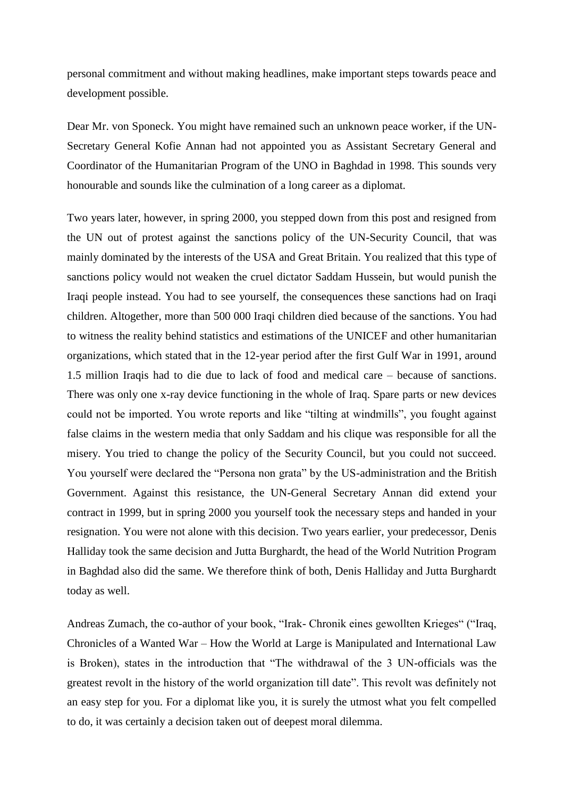personal commitment and without making headlines, make important steps towards peace and development possible.

Dear Mr. von Sponeck. You might have remained such an unknown peace worker, if the UN-Secretary General Kofie Annan had not appointed you as Assistant Secretary General and Coordinator of the Humanitarian Program of the UNO in Baghdad in 1998. This sounds very honourable and sounds like the culmination of a long career as a diplomat.

Two years later, however, in spring 2000, you stepped down from this post and resigned from the UN out of protest against the sanctions policy of the UN-Security Council, that was mainly dominated by the interests of the USA and Great Britain. You realized that this type of sanctions policy would not weaken the cruel dictator Saddam Hussein, but would punish the Iraqi people instead. You had to see yourself, the consequences these sanctions had on Iraqi children. Altogether, more than 500 000 Iraqi children died because of the sanctions. You had to witness the reality behind statistics and estimations of the UNICEF and other humanitarian organizations, which stated that in the 12-year period after the first Gulf War in 1991, around 1.5 million Iraqis had to die due to lack of food and medical care – because of sanctions. There was only one x-ray device functioning in the whole of Iraq. Spare parts or new devices could not be imported. You wrote reports and like "tilting at windmills", you fought against false claims in the western media that only Saddam and his clique was responsible for all the misery. You tried to change the policy of the Security Council, but you could not succeed. You yourself were declared the "Persona non grata" by the US-administration and the British Government. Against this resistance, the UN-General Secretary Annan did extend your contract in 1999, but in spring 2000 you yourself took the necessary steps and handed in your resignation. You were not alone with this decision. Two years earlier, your predecessor, Denis Halliday took the same decision and Jutta Burghardt, the head of the World Nutrition Program in Baghdad also did the same. We therefore think of both, Denis Halliday and Jutta Burghardt today as well.

Andreas Zumach, the co-author of your book, "Irak- Chronik eines gewollten Krieges" ("Iraq, Chronicles of a Wanted War – How the World at Large is Manipulated and International Law is Broken), states in the introduction that "The withdrawal of the 3 UN-officials was the greatest revolt in the history of the world organization till date". This revolt was definitely not an easy step for you. For a diplomat like you, it is surely the utmost what you felt compelled to do, it was certainly a decision taken out of deepest moral dilemma.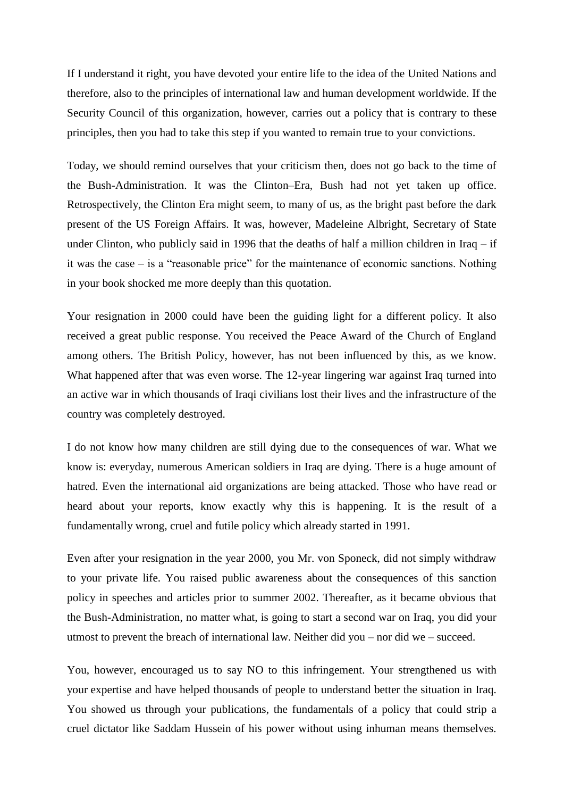If I understand it right, you have devoted your entire life to the idea of the United Nations and therefore, also to the principles of international law and human development worldwide. If the Security Council of this organization, however, carries out a policy that is contrary to these principles, then you had to take this step if you wanted to remain true to your convictions.

Today, we should remind ourselves that your criticism then, does not go back to the time of the Bush-Administration. It was the Clinton–Era, Bush had not yet taken up office. Retrospectively, the Clinton Era might seem, to many of us, as the bright past before the dark present of the US Foreign Affairs. It was, however, Madeleine Albright, Secretary of State under Clinton, who publicly said in 1996 that the deaths of half a million children in Iraq – if it was the case – is a "reasonable price" for the maintenance of economic sanctions. Nothing in your book shocked me more deeply than this quotation.

Your resignation in 2000 could have been the guiding light for a different policy. It also received a great public response. You received the Peace Award of the Church of England among others. The British Policy, however, has not been influenced by this, as we know. What happened after that was even worse. The 12-year lingering war against Iraq turned into an active war in which thousands of Iraqi civilians lost their lives and the infrastructure of the country was completely destroyed.

I do not know how many children are still dying due to the consequences of war. What we know is: everyday, numerous American soldiers in Iraq are dying. There is a huge amount of hatred. Even the international aid organizations are being attacked. Those who have read or heard about your reports, know exactly why this is happening. It is the result of a fundamentally wrong, cruel and futile policy which already started in 1991.

Even after your resignation in the year 2000, you Mr. von Sponeck, did not simply withdraw to your private life. You raised public awareness about the consequences of this sanction policy in speeches and articles prior to summer 2002. Thereafter, as it became obvious that the Bush-Administration, no matter what, is going to start a second war on Iraq, you did your utmost to prevent the breach of international law. Neither did you – nor did we – succeed.

You, however, encouraged us to say NO to this infringement. Your strengthened us with your expertise and have helped thousands of people to understand better the situation in Iraq. You showed us through your publications, the fundamentals of a policy that could strip a cruel dictator like Saddam Hussein of his power without using inhuman means themselves.